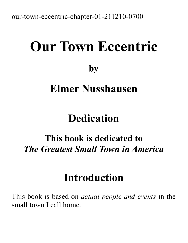our-town-eccentric-chapter-01-211210-0700

# **Our Town Eccentric by Elmer Nusshausen**

## **Dedication**

### **This book is dedicated to** *The Greatest Small Town in America*

## **Introduction**

This book is based on *actual people and events* in the small town I call home.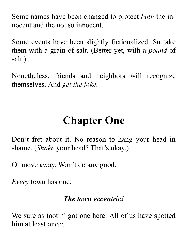Some names have been changed to protect *both* the innocent and the not so innocent.

Some events have been slightly fictionalized. So take them with a grain of salt. (Better yet, with a *pound* of salt.)

Nonetheless, friends and neighbors will recognize themselves. And *get the joke.*

### **Chapter One**

Don't fret about it. No reason to hang your head in shame. (*Shake* your head? That's okay.)

Or move away. Won't do any good.

*Every* town has one:

#### *The town eccentric!*

We sure as tootin' got one here. All of us have spotted him at least once: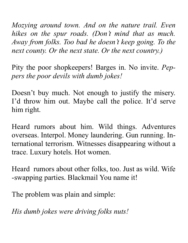*Mozying around town. And on the nature trail. Even hikes on the spur roads. (Don't mind that as much. Away from folks. Too bad he doesn't keep going. To the next county. Or the next state. Or the next country.)*

Pity the poor shopkeepers! Barges in. No invite. *Peppers the poor devils with dumb jokes!*

Doesn't buy much. Not enough to justify the misery. I'd throw him out. Maybe call the police. It'd serve him right.

Heard rumors about him. Wild things. Adventures overseas. Interpol. Money laundering. Gun running. International terrorism. Witnesses disappearing without a trace. Luxury hotels. Hot women.

Heard rumors about other folks, too. Just as wild. Wife -swapping parties. Blackmail You name it!

The problem was plain and simple:

*His dumb jokes were driving folks nuts!*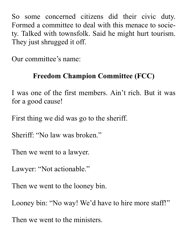So some concerned citizens did their civic duty. Formed a committee to deal with this menace to society. Talked with townsfolk. Said he might hurt tourism. They just shrugged it off.

Our committee's name:

#### **Freedom Champion Committee (FCC)**

I was one of the first members. Ain't rich. But it was for a good cause!

First thing we did was go to the sheriff.

Sheriff: "No law was broken."

Then we went to a lawyer.

Lawyer: "Not actionable."

Then we went to the looney bin.

Looney bin: "No way! We'd have to hire more staff!"

Then we went to the ministers.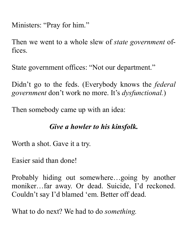Ministers: "Pray for him."

Then we went to a whole slew of *state government* offices.

State government offices: "Not our department."

Didn't go to the feds. (Everybody knows the *federal government* don't work no more. It's *dysfunctional.*)

Then somebody came up with an idea:

#### *Give a howler to his kinsfolk.*

Worth a shot. Gave it a try.

Easier said than done!

Probably hiding out somewhere…going by another moniker…far away. Or dead. Suicide, I'd reckoned. Couldn't say I'd blamed 'em. Better off dead.

What to do next? We had to do *something.*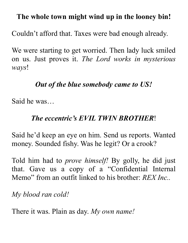#### **The whole town might wind up in the looney bin!**

Couldn't afford that. Taxes were bad enough already.

We were starting to get worried. Then lady luck smiled on us. Just proves it. *The Lord works in mysterious ways*!

#### *Out of the blue somebody came to US!*

Said he was…

#### *The eccentric's EVIL TWIN BROTHER*!

Said he'd keep an eye on him. Send us reports. Wanted money. Sounded fishy. Was he legit? Or a crook?

Told him had to *prove himself!* By golly, he did just that. Gave us a copy of a "Confidential Internal Memo" from an outfit linked to his brother: *REX Inc..*

*My blood ran cold!*

There it was. Plain as day. *My own name!*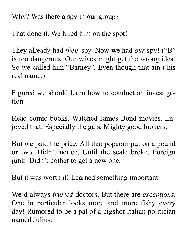Why? Was there a spy in our group?

That done it. We hired him on the spot!

They already had *their* spy. Now we had *our* spy! ("B" is too dangerous. Our wives might get the wrong idea. So we called him "Barney". Even though that ain't his real name.)

Figured we should learn how to conduct an investigation.

Read comic books. Watched James Bond movies. Enjoyed that. Especially the gals. Mighty good lookers.

But we paid the price. All that popcorn put on a pound or two. Didn't notice. Until the scale broke. Foreign junk! Didn't bother to get a new one.

But it was worth it! Learned something important.

We'd always *trusted* doctors. But there are *exceptions*. One in particular looks more and more fishy every day! Rumored to be a pal of a bigshot Italian politician named Julius.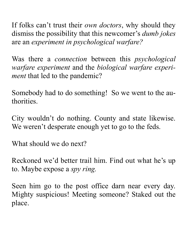If folks can't trust their *own doctors*, why should they dismiss the possibility that this newcomer's *dumb jokes* are an *experiment in psychological warfare?*

Was there a *connection* between this *psychological warfare experiment* and the *biological warfare experiment* that led to the pandemic?

Somebody had to do something! So we went to the authorities.

City wouldn't do nothing. County and state likewise. We weren't desperate enough yet to go to the feds.

What should we do next?

Reckoned we'd better trail him. Find out what he's up to. Maybe expose a *spy ring.* 

Seen him go to the post office darn near every day. Mighty suspicious! Meeting someone? Staked out the place.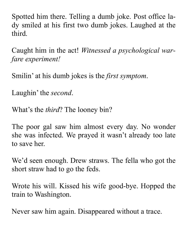Spotted him there. Telling a dumb joke. Post office lady smiled at his first two dumb jokes. Laughed at the third.

Caught him in the act! *Witnessed a psychological warfare experiment!*

Smilin' at his dumb jokes is the *first symptom*.

Laughin' the *second*.

What's the *third*? The looney bin?

The poor gal saw him almost every day. No wonder she was infected. We prayed it wasn't already too late to save her.

We'd seen enough. Drew straws. The fella who got the short straw had to go the feds.

Wrote his will. Kissed his wife good-bye. Hopped the train to Washington.

Never saw him again. Disappeared without a trace.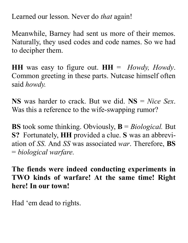Learned our lesson. Never do *that* again!

Meanwhile, Barney had sent us more of their memos. Naturally, they used codes and code names. So we had to decipher them.

**HH** was easy to figure out.  $HH =$  *Howdy, Howdy.* Common greeting in these parts. Nutcase himself often said *howdy.*

**NS** was harder to crack. But we did. **NS** = *Nice Sex*. Was this a reference to the wife-swapping rumor?

**BS** took some thinking. Obviously, **B** = *Biological.* But **S?** Fortunately, **HH** provided a clue. **S** was an abbreviation of *SS*. And *SS* was associated *war*. Therefore, **BS** = *biological warfare.*

**The fiends were indeed conducting experiments in TWO kinds of warfare! At the same time! Right here! In our town!**

Had 'em dead to rights.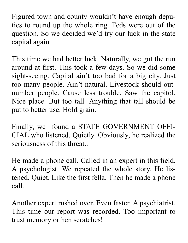Figured town and county wouldn't have enough deputies to round up the whole ring. Feds were out of the question. So we decided we'd try our luck in the state capital again.

This time we had better luck. Naturally, we got the run around at first. This took a few days. So we did some sight-seeing. Capital ain't too bad for a big city. Just too many people. Ain't natural. Livestock should outnumber people. Cause less trouble. Saw the capitol. Nice place. But too tall. Anything that tall should be put to better use. Hold grain.

Finally, we found a STATE GOVERNMENT OFFI-CIAL who listened. Quietly. Obviously, he realized the seriousness of this threat..

He made a phone call. Called in an expert in this field. A psychologist. We repeated the whole story. He listened. Quiet. Like the first fella. Then he made a phone call.

Another expert rushed over. Even faster. A psychiatrist. This time our report was recorded. Too important to trust memory or hen scratches!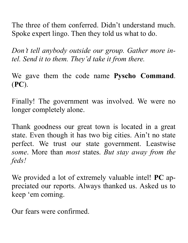The three of them conferred. Didn't understand much. Spoke expert lingo. Then they told us what to do.

*Don't tell anybody outside our group. Gather more intel. Send it to them. They'd take it from there.*

We gave them the code name **Pyscho Command**. (**PC**).

Finally! The government was involved. We were no longer completely alone.

Thank goodness our great town is located in a great state. Even though it has two big cities. Ain't no state perfect. We trust our state government. Leastwise *some*. More than *most* states. *But stay away from the feds!*

We provided a lot of extremely valuable intel! **PC** appreciated our reports. Always thanked us. Asked us to keep 'em coming.

Our fears were confirmed.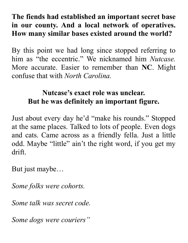#### **The fiends had established an important secret base in our county. And a local network of operatives. How many similar bases existed around the world?**

By this point we had long since stopped referring to him as "the eccentric." We nicknamed him *Nutcase.* More accurate. Easier to remember than **NC**. Might confuse that with *North Carolina.*

#### **Nutcase's exact role was unclear. But he was definitely an important figure.**

Just about every day he'd "make his rounds." Stopped at the same places. Talked to lots of people. Even dogs and cats. Came across as a friendly fella. Just a little odd. Maybe "little" ain't the right word, if you get my drift.

But just maybe…

*Some folks were cohorts.*

*Some talk was secret code.* 

*Some dogs were couriers"*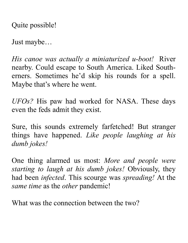Quite possible!

Just maybe…

*His canoe was actually a miniaturized u-boot!* River nearby. Could escape to South America. Liked Southerners. Sometimes he'd skip his rounds for a spell. Maybe that's where he went.

*UFOs?* His paw had worked for NASA. These days even the feds admit they exist.

Sure, this sounds extremely farfetched! But stranger things have happened. *Like people laughing at his dumb jokes!* 

One thing alarmed us most: *More and people were starting to laugh at his dumb jokes!* Obviously, they had been *infected*. This scourge was *spreading!* At the *same time* as the *other* pandemic!

What was the connection between the two?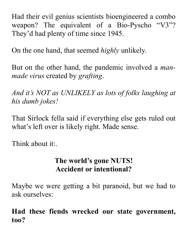Had their evil genius scientists bioengineered a combo weapon? The equivalent of a Bio-Pyscho "V3"? They'd had plenty of time since 1945.

On the one hand, that seemed *highly* unlikely.

But on the other hand, the pandemic involved a *manmade virus* created by *grafting*.

*And it's NOT as UNLIKELY as lots of folks laughing at his dumb jokes!* 

That Sirlock fella said if everything else gets ruled out what's left over is likely right. Made sense.

Think about it:.

#### **The world's gone NUTS! Accident or intentional?**

Maybe we were getting a bit paranoid, but we had to ask ourselves:

**Had these fiends wrecked our state government, too?**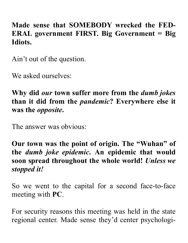#### **Made sense that SOMEBODY wrecked the FED-ERAL government FIRST. Big Government = Big Idiots.**

Ain't out of the question.

We asked ourselves:

**Why did** *our* **town suffer more from the** *dumb jokes* **than it did from the** *pandemic***? Everywhere else it was the** *opposite***.** 

The answer was obvious:

**Our town was the point of origin. The "Wuhan" of the** *dumb joke epidemic***. An epidemic that would soon spread throughout the whole world!** *Unless we stopped it!*

So we went to the capital for a second face-to-face meeting with **PC**.

For security reasons this meeting was held in the state regional center. Made sense they'd center psychologi